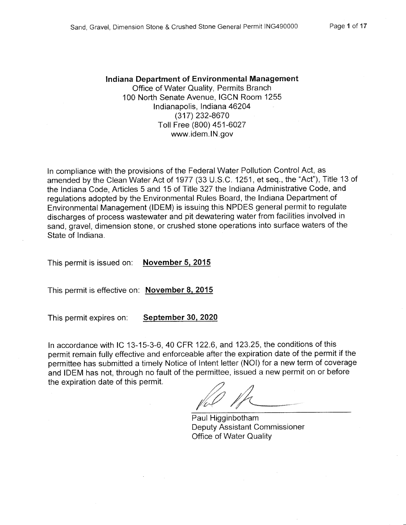### Indiana Department of Environmental Management Office of Water Quality, Permits Branch 100 North Senate Avenue, IGCN Room 1255 Indianapolis, Indiana 46204 (317) 232-8670 Toll Free (800) 451-6027

www.idem.IN.gov

In compliance with the provisions of the Federal Water Pollution Control Act, as amended by the Clean Water Act of 1977 (33 U.S.C. 1251, et seq., the "Act"), Title 13 of the Indiana Code, Articles 5 and 15 of Title 327 the Indiana Administrative Code, and regulations adopted by the Environmental Rules Board, the Indiana Department of Environmental Management (IDEM) is issuing this NPDES general permit to regulate discharges of process wastewater and pit dewatering water from facilities involved in sand, gravel, dimension stone, or crushed stone operations into surface waters of the State of Indiana.

**November 5, 2015** This permit is issued on:

This permit is effective on: November 8, 2015

This permit expires on: September 30, 2020

In accordance with IC 13-15-3-6, 40 CFR 122.6, and 123.25, the conditions of this permit remain fully effective and enforceable after the expiration date of the permit if the permittee has submitted a timely Notice of Intent letter (NOI) for a new term of coverage and IDEM has not, through no fault of the permittee, issued a new permit on or before the expiration date of this permit.

Paul Higginbotham Deputy Assistant Commissioner **Office of Water Quality**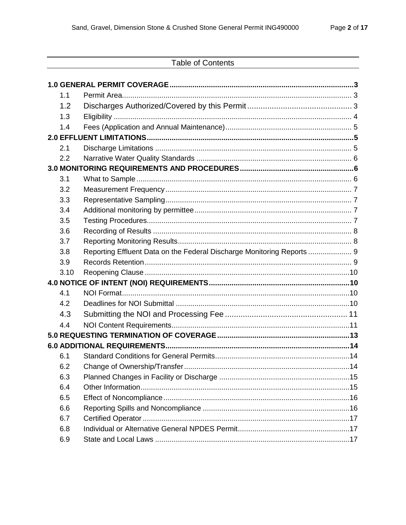|      | <b>Table of Contents</b>                                               |  |
|------|------------------------------------------------------------------------|--|
|      |                                                                        |  |
|      |                                                                        |  |
| 1.1  |                                                                        |  |
| 1.2  |                                                                        |  |
| 1.3  |                                                                        |  |
| 1.4  |                                                                        |  |
|      |                                                                        |  |
| 2.1  |                                                                        |  |
| 2.2  |                                                                        |  |
|      |                                                                        |  |
| 3.1  |                                                                        |  |
| 3.2  |                                                                        |  |
| 3.3  |                                                                        |  |
| 3.4  |                                                                        |  |
| 3.5  |                                                                        |  |
| 3.6  |                                                                        |  |
| 3.7  |                                                                        |  |
| 3.8  | Reporting Effluent Data on the Federal Discharge Monitoring Reports  9 |  |
| 3.9  |                                                                        |  |
| 3.10 |                                                                        |  |
|      |                                                                        |  |
| 4.1  |                                                                        |  |
| 4.2  |                                                                        |  |
| 4.3  |                                                                        |  |
| 4.4  |                                                                        |  |
|      |                                                                        |  |
|      |                                                                        |  |
| 6.1  |                                                                        |  |
| 6.2  |                                                                        |  |
| 6.3  |                                                                        |  |
| 6.4  |                                                                        |  |
| 6.5  |                                                                        |  |
| 6.6  |                                                                        |  |
| 6.7  |                                                                        |  |
| 6.8  |                                                                        |  |
| 6.9  |                                                                        |  |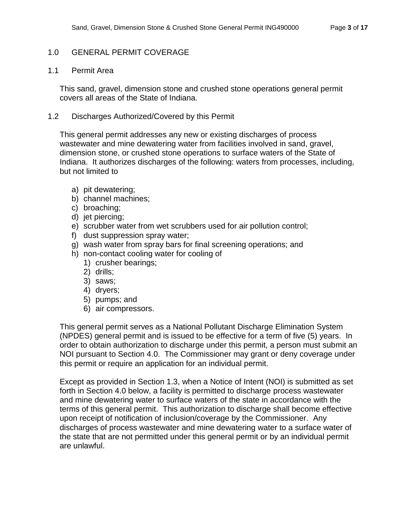# <span id="page-2-0"></span>1.0 GENERAL PERMIT COVERAGE

### <span id="page-2-1"></span>1.1 Permit Area

This sand, gravel, dimension stone and crushed stone operations general permit covers all areas of the State of Indiana.

## <span id="page-2-2"></span>1.2 Discharges Authorized/Covered by this Permit

This general permit addresses any new or existing discharges of process wastewater and mine dewatering water from facilities involved in sand, gravel, dimension stone, or crushed stone operations to surface waters of the State of Indiana. It authorizes discharges of the following: waters from processes, including, but not limited to

- a) pit dewatering;
- b) channel machines;
- c) broaching;
- d) jet piercing;
- e) scrubber water from wet scrubbers used for air pollution control;
- f) dust suppression spray water;
- g) wash water from spray bars for final screening operations; and
- h) non-contact cooling water for cooling of
	- 1) crusher bearings;
	- 2) drills;
	- 3) saws;
	- 4) dryers;
	- 5) pumps; and
	- 6) air compressors.

This general permit serves as a National Pollutant Discharge Elimination System (NPDES) general permit and is issued to be effective for a term of five (5) years. In order to obtain authorization to discharge under this permit, a person must submit an NOI pursuant to Section 4.0. The Commissioner may grant or deny coverage under this permit or require an application for an individual permit.

Except as provided in Section 1.3, when a Notice of Intent (NOI) is submitted as set forth in Section 4.0 below, a facility is permitted to discharge process wastewater and mine dewatering water to surface waters of the state in accordance with the terms of this general permit. This authorization to discharge shall become effective upon receipt of notification of inclusion/coverage by the Commissioner. Any discharges of process wastewater and mine dewatering water to a surface water of the state that are not permitted under this general permit or by an individual permit are unlawful.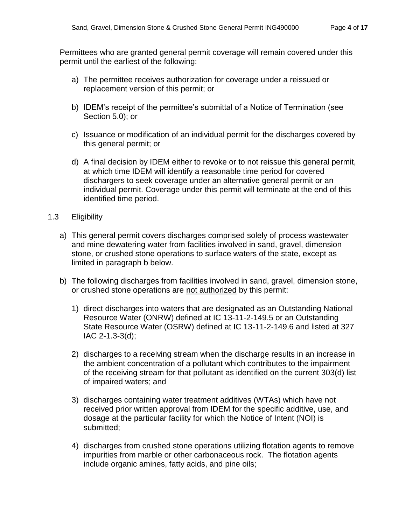Permittees who are granted general permit coverage will remain covered under this permit until the earliest of the following:

- a) The permittee receives authorization for coverage under a reissued or replacement version of this permit; or
- b) IDEM's receipt of the permittee's submittal of a Notice of Termination (see Section 5.0); or
- c) Issuance or modification of an individual permit for the discharges covered by this general permit; or
- d) A final decision by IDEM either to revoke or to not reissue this general permit, at which time IDEM will identify a reasonable time period for covered dischargers to seek coverage under an alternative general permit or an individual permit. Coverage under this permit will terminate at the end of this identified time period.
- <span id="page-3-0"></span>1.3 Eligibility
	- a) This general permit covers discharges comprised solely of process wastewater and mine dewatering water from facilities involved in sand, gravel, dimension stone, or crushed stone operations to surface waters of the state, except as limited in paragraph b below.
	- b) The following discharges from facilities involved in sand, gravel, dimension stone, or crushed stone operations are not authorized by this permit:
		- 1) direct discharges into waters that are designated as an Outstanding National Resource Water (ONRW) defined at IC 13-11-2-149.5 or an Outstanding State Resource Water (OSRW) defined at IC 13-11-2-149.6 and listed at 327 IAC 2-1.3-3(d);
		- 2) discharges to a receiving stream when the discharge results in an increase in the ambient concentration of a pollutant which contributes to the impairment of the receiving stream for that pollutant as identified on the current 303(d) list of impaired waters; and
		- 3) discharges containing water treatment additives (WTAs) which have not received prior written approval from IDEM for the specific additive, use, and dosage at the particular facility for which the Notice of Intent (NOI) is submitted;
		- 4) discharges from crushed stone operations utilizing flotation agents to remove impurities from marble or other carbonaceous rock. The flotation agents include organic amines, fatty acids, and pine oils;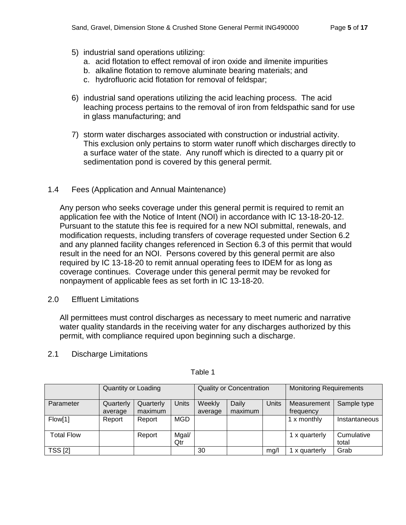- 5) industrial sand operations utilizing:
	- a. acid flotation to effect removal of iron oxide and ilmenite impurities
	- b. alkaline flotation to remove aluminate bearing materials; and
	- c. hydrofluoric acid flotation for removal of feldspar;
- 6) industrial sand operations utilizing the acid leaching process. The acid leaching process pertains to the removal of iron from feldspathic sand for use in glass manufacturing; and
- 7) storm water discharges associated with construction or industrial activity. This exclusion only pertains to storm water runoff which discharges directly to a surface water of the state. Any runoff which is directed to a quarry pit or sedimentation pond is covered by this general permit.
- <span id="page-4-0"></span>1.4 Fees (Application and Annual Maintenance)

Any person who seeks coverage under this general permit is required to remit an application fee with the Notice of Intent (NOI) in accordance with IC 13-18-20-12. Pursuant to the statute this fee is required for a new NOI submittal, renewals, and modification requests, including transfers of coverage requested under Section 6.2 and any planned facility changes referenced in Section 6.3 of this permit that would result in the need for an NOI. Persons covered by this general permit are also required by IC 13-18-20 to remit annual operating fees to IDEM for as long as coverage continues. Coverage under this general permit may be revoked for nonpayment of applicable fees as set forth in IC 13-18-20.

<span id="page-4-1"></span>2.0 Effluent Limitations

All permittees must control discharges as necessary to meet numeric and narrative water quality standards in the receiving water for any discharges authorized by this permit, with compliance required upon beginning such a discharge.

<span id="page-4-2"></span>

| 2.1 |  | <b>Discharge Limitations</b> |
|-----|--|------------------------------|
|-----|--|------------------------------|

|                   | Quantity or Loading |           | <b>Quality or Concentration</b> |         |         | <b>Monitoring Requirements</b> |               |                     |
|-------------------|---------------------|-----------|---------------------------------|---------|---------|--------------------------------|---------------|---------------------|
| Parameter         | Quarterly           | Quarterly | <b>Units</b>                    | Weekly  | Daily   | <b>Units</b>                   | Measurement   | Sample type         |
|                   | average             | maximum   |                                 | average | maximum |                                | frequency     |                     |
| Flow[1]           | Report              | Report    | <b>MGD</b>                      |         |         |                                | 1 x monthly   | Instantaneous       |
| <b>Total Flow</b> |                     | Report    | Mgal/<br>Qtr                    |         |         |                                | 1 x quarterly | Cumulative<br>total |
| <b>TSS [2]</b>    |                     |           |                                 | 30      |         | mq/l                           | x quarterly   | Grab                |

Table 1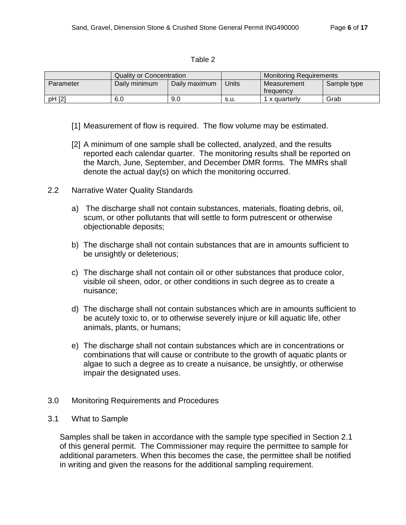#### Table 2

|           | Quality or Concentration |               |       | <b>Monitoring Requirements</b> |             |
|-----------|--------------------------|---------------|-------|--------------------------------|-------------|
| Parameter | Daily minimum            | Daily maximum | Units | Measurement<br>treauency       | Sample type |
| pH [2]    | 6.0                      | 9.0           | s.u.  | x quarterly                    | Grab        |

- [1] Measurement of flow is required. The flow volume may be estimated.
- [2] A minimum of one sample shall be collected, analyzed, and the results reported each calendar quarter. The monitoring results shall be reported on the March, June, September, and December DMR forms. The MMRs shall denote the actual day(s) on which the monitoring occurred.
- <span id="page-5-0"></span>2.2 Narrative Water Quality Standards
	- a) The discharge shall not contain substances, materials, floating debris, oil, scum, or other pollutants that will settle to form putrescent or otherwise objectionable deposits;
	- b) The discharge shall not contain substances that are in amounts sufficient to be unsightly or deleterious;
	- c) The discharge shall not contain oil or other substances that produce color, visible oil sheen, odor, or other conditions in such degree as to create a nuisance;
	- d) The discharge shall not contain substances which are in amounts sufficient to be acutely toxic to, or to otherwise severely injure or kill aquatic life, other animals, plants, or humans;
	- e) The discharge shall not contain substances which are in concentrations or combinations that will cause or contribute to the growth of aquatic plants or algae to such a degree as to create a nuisance, be unsightly, or otherwise impair the designated uses.
- <span id="page-5-1"></span>3.0 Monitoring Requirements and Procedures
- <span id="page-5-2"></span>3.1 What to Sample

Samples shall be taken in accordance with the sample type specified in Section 2.1 of this general permit. The Commissioner may require the permittee to sample for additional parameters. When this becomes the case, the permittee shall be notified in writing and given the reasons for the additional sampling requirement.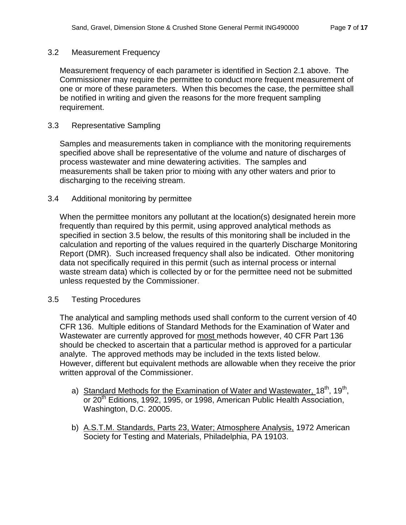#### <span id="page-6-0"></span>3.2 Measurement Frequency

Measurement frequency of each parameter is identified in Section 2.1 above. The Commissioner may require the permittee to conduct more frequent measurement of one or more of these parameters. When this becomes the case, the permittee shall be notified in writing and given the reasons for the more frequent sampling requirement.

### <span id="page-6-1"></span>3.3 Representative Sampling

Samples and measurements taken in compliance with the monitoring requirements specified above shall be representative of the volume and nature of discharges of process wastewater and mine dewatering activities. The samples and measurements shall be taken prior to mixing with any other waters and prior to discharging to the receiving stream.

#### <span id="page-6-2"></span>3.4 Additional monitoring by permittee

When the permittee monitors any pollutant at the location(s) designated herein more frequently than required by this permit, using approved analytical methods as specified in section 3.5 below, the results of this monitoring shall be included in the calculation and reporting of the values required in the quarterly Discharge Monitoring Report (DMR). Such increased frequency shall also be indicated. Other monitoring data not specifically required in this permit (such as internal process or internal waste stream data) which is collected by or for the permittee need not be submitted unless requested by the Commissioner.

#### <span id="page-6-3"></span>3.5 Testing Procedures

The analytical and sampling methods used shall conform to the current version of 40 CFR 136. Multiple editions of Standard Methods for the Examination of Water and Wastewater are currently approved for most methods however, 40 CFR Part 136 should be checked to ascertain that a particular method is approved for a particular analyte. The approved methods may be included in the texts listed below. However, different but equivalent methods are allowable when they receive the prior written approval of the Commissioner.

- a) Standard Methods for the Examination of Water and Wastewater, 18<sup>th</sup>, 19<sup>th</sup>, or 20<sup>th</sup> Editions, 1992, 1995, or 1998, American Public Health Association, Washington, D.C. 20005.
- b) A.S.T.M. Standards, Parts 23, Water; Atmosphere Analysis, 1972 American Society for Testing and Materials, Philadelphia, PA 19103.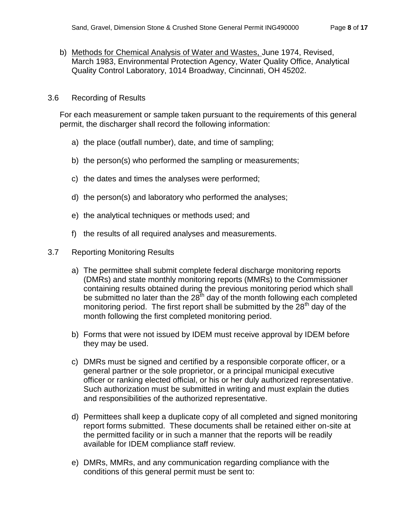b) Methods for Chemical Analysis of Water and Wastes, June 1974, Revised, March 1983, Environmental Protection Agency, Water Quality Office, Analytical Quality Control Laboratory, 1014 Broadway, Cincinnati, OH 45202.

## <span id="page-7-0"></span>3.6 Recording of Results

For each measurement or sample taken pursuant to the requirements of this general permit, the discharger shall record the following information:

- a) the place (outfall number), date, and time of sampling;
- b) the person(s) who performed the sampling or measurements;
- c) the dates and times the analyses were performed;
- d) the person(s) and laboratory who performed the analyses;
- e) the analytical techniques or methods used; and
- f) the results of all required analyses and measurements.

#### <span id="page-7-1"></span>3.7 Reporting Monitoring Results

- a) The permittee shall submit complete federal discharge monitoring reports (DMRs) and state monthly monitoring reports (MMRs) to the Commissioner containing results obtained during the previous monitoring period which shall be submitted no later than the  $28<sup>th</sup>$  day of the month following each completed monitoring period. The first report shall be submitted by the  $28<sup>th</sup>$  day of the month following the first completed monitoring period.
- b) Forms that were not issued by IDEM must receive approval by IDEM before they may be used.
- c) DMRs must be signed and certified by a responsible corporate officer, or a general partner or the sole proprietor, or a principal municipal executive officer or ranking elected official, or his or her duly authorized representative. Such authorization must be submitted in writing and must explain the duties and responsibilities of the authorized representative.
- d) Permittees shall keep a duplicate copy of all completed and signed monitoring report forms submitted. These documents shall be retained either on-site at the permitted facility or in such a manner that the reports will be readily available for IDEM compliance staff review.
- e) DMRs, MMRs, and any communication regarding compliance with the conditions of this general permit must be sent to: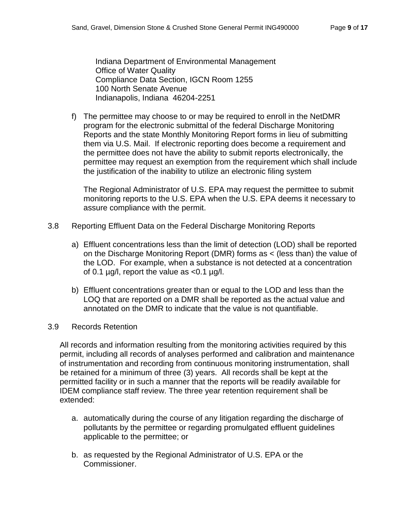Indiana Department of Environmental Management Office of Water Quality Compliance Data Section, IGCN Room 1255 100 North Senate Avenue Indianapolis, Indiana 46204-2251

f) The permittee may choose to or may be required to enroll in the NetDMR program for the electronic submittal of the federal Discharge Monitoring Reports and the state Monthly Monitoring Report forms in lieu of submitting them via U.S. Mail. If electronic reporting does become a requirement and the permittee does not have the ability to submit reports electronically, the permittee may request an exemption from the requirement which shall include the justification of the inability to utilize an electronic filing system

The Regional Administrator of U.S. EPA may request the permittee to submit monitoring reports to the U.S. EPA when the U.S. EPA deems it necessary to assure compliance with the permit.

- <span id="page-8-0"></span>3.8 Reporting Effluent Data on the Federal Discharge Monitoring Reports
	- a) Effluent concentrations less than the limit of detection (LOD) shall be reported on the Discharge Monitoring Report (DMR) forms as < (less than) the value of the LOD. For example, when a substance is not detected at a concentration of 0.1  $\mu$ g/l, report the value as <0.1  $\mu$ g/l.
	- b) Effluent concentrations greater than or equal to the LOD and less than the LOQ that are reported on a DMR shall be reported as the actual value and annotated on the DMR to indicate that the value is not quantifiable.

## <span id="page-8-1"></span>3.9 Records Retention

All records and information resulting from the monitoring activities required by this permit, including all records of analyses performed and calibration and maintenance of instrumentation and recording from continuous monitoring instrumentation, shall be retained for a minimum of three (3) years. All records shall be kept at the permitted facility or in such a manner that the reports will be readily available for IDEM compliance staff review. The three year retention requirement shall be extended:

- a. automatically during the course of any litigation regarding the discharge of pollutants by the permittee or regarding promulgated effluent guidelines applicable to the permittee; or
- b. as requested by the Regional Administrator of U.S. EPA or the Commissioner.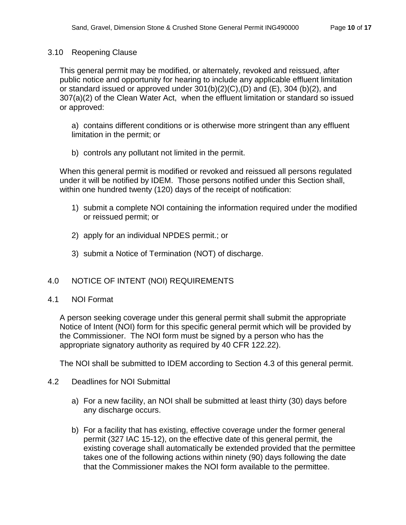### <span id="page-9-0"></span>3.10 Reopening Clause

This general permit may be modified, or alternately, revoked and reissued, after public notice and opportunity for hearing to include any applicable effluent limitation or standard issued or approved under  $301(b)(2)(C)$ ,  $(D)$  and  $(E)$ ,  $304(b)(2)$ , and 307(a)(2) of the Clean Water Act, when the effluent limitation or standard so issued or approved:

a) contains different conditions or is otherwise more stringent than any effluent limitation in the permit; or

b) controls any pollutant not limited in the permit.

When this general permit is modified or revoked and reissued all persons regulated under it will be notified by IDEM. Those persons notified under this Section shall, within one hundred twenty (120) days of the receipt of notification:

- 1) submit a complete NOI containing the information required under the modified or reissued permit; or
- 2) apply for an individual NPDES permit.; or
- 3) submit a Notice of Termination (NOT) of discharge.

## <span id="page-9-1"></span>4.0 NOTICE OF INTENT (NOI) REQUIREMENTS

<span id="page-9-2"></span>4.1 NOI Format

A person seeking coverage under this general permit shall submit the appropriate Notice of Intent (NOI) form for this specific general permit which will be provided by the Commissioner. The NOI form must be signed by a person who has the appropriate signatory authority as required by 40 CFR 122.22).

The NOI shall be submitted to IDEM according to Section 4.3 of this general permit.

- <span id="page-9-3"></span>4.2 Deadlines for NOI Submittal
	- a) For a new facility, an NOI shall be submitted at least thirty (30) days before any discharge occurs.
	- b) For a facility that has existing, effective coverage under the former general permit (327 IAC 15-12), on the effective date of this general permit, the existing coverage shall automatically be extended provided that the permittee takes one of the following actions within ninety (90) days following the date that the Commissioner makes the NOI form available to the permittee.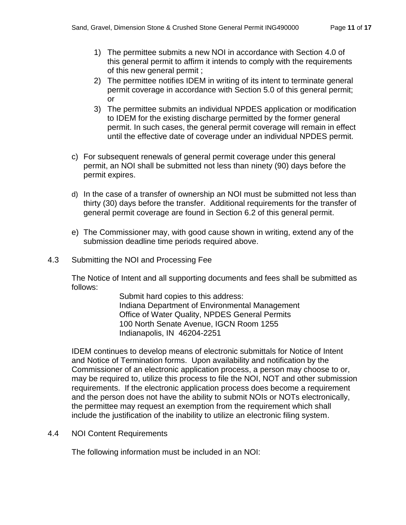- 1) The permittee submits a new NOI in accordance with Section 4.0 of this general permit to affirm it intends to comply with the requirements of this new general permit ;
- 2) The permittee notifies IDEM in writing of its intent to terminate general permit coverage in accordance with Section 5.0 of this general permit; or
- 3) The permittee submits an individual NPDES application or modification to IDEM for the existing discharge permitted by the former general permit. In such cases, the general permit coverage will remain in effect until the effective date of coverage under an individual NPDES permit.
- c) For subsequent renewals of general permit coverage under this general permit, an NOI shall be submitted not less than ninety (90) days before the permit expires.
- d) In the case of a transfer of ownership an NOI must be submitted not less than thirty (30) days before the transfer. Additional requirements for the transfer of general permit coverage are found in Section 6.2 of this general permit.
- e) The Commissioner may, with good cause shown in writing, extend any of the submission deadline time periods required above.
- <span id="page-10-0"></span>4.3 Submitting the NOI and Processing Fee

The Notice of Intent and all supporting documents and fees shall be submitted as follows:

> Submit hard copies to this address: Indiana Department of Environmental Management Office of Water Quality, NPDES General Permits 100 North Senate Avenue, IGCN Room 1255 Indianapolis, IN 46204-2251

IDEM continues to develop means of electronic submittals for Notice of Intent and Notice of Termination forms. Upon availability and notification by the Commissioner of an electronic application process, a person may choose to or, may be required to, utilize this process to file the NOI, NOT and other submission requirements. If the electronic application process does become a requirement and the person does not have the ability to submit NOIs or NOTs electronically, the permittee may request an exemption from the requirement which shall include the justification of the inability to utilize an electronic filing system.

<span id="page-10-1"></span>4.4 NOI Content Requirements

The following information must be included in an NOI: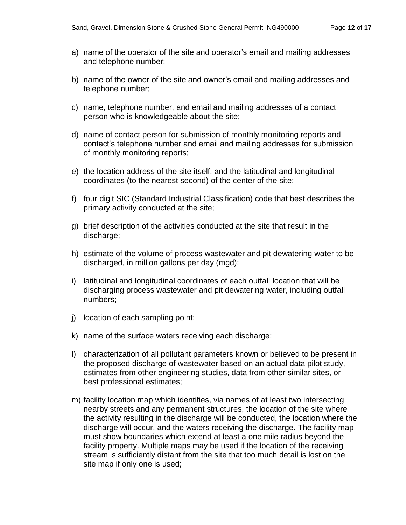- a) name of the operator of the site and operator's email and mailing addresses and telephone number;
- b) name of the owner of the site and owner's email and mailing addresses and telephone number;
- c) name, telephone number, and email and mailing addresses of a contact person who is knowledgeable about the site;
- d) name of contact person for submission of monthly monitoring reports and contact's telephone number and email and mailing addresses for submission of monthly monitoring reports;
- e) the location address of the site itself, and the latitudinal and longitudinal coordinates (to the nearest second) of the center of the site;
- f) four digit SIC (Standard Industrial Classification) code that best describes the primary activity conducted at the site;
- g) brief description of the activities conducted at the site that result in the discharge;
- h) estimate of the volume of process wastewater and pit dewatering water to be discharged, in million gallons per day (mgd);
- i) latitudinal and longitudinal coordinates of each outfall location that will be discharging process wastewater and pit dewatering water, including outfall numbers;
- j) location of each sampling point;
- k) name of the surface waters receiving each discharge;
- l) characterization of all pollutant parameters known or believed to be present in the proposed discharge of wastewater based on an actual data pilot study, estimates from other engineering studies, data from other similar sites, or best professional estimates;
- m) facility location map which identifies, via names of at least two intersecting nearby streets and any permanent structures, the location of the site where the activity resulting in the discharge will be conducted, the location where the discharge will occur, and the waters receiving the discharge. The facility map must show boundaries which extend at least a one mile radius beyond the facility property. Multiple maps may be used if the location of the receiving stream is sufficiently distant from the site that too much detail is lost on the site map if only one is used;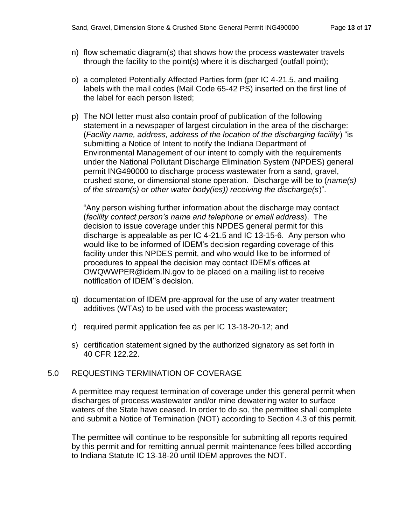- n) flow schematic diagram(s) that shows how the process wastewater travels through the facility to the point(s) where it is discharged (outfall point);
- o) a completed Potentially Affected Parties form (per IC 4-21.5, and mailing labels with the mail codes (Mail Code 65-42 PS) inserted on the first line of the label for each person listed;
- p) The NOI letter must also contain proof of publication of the following statement in a newspaper of largest circulation in the area of the discharge: (*Facility name, address, address of the location of the discharging facility*) "is submitting a Notice of Intent to notify the Indiana Department of Environmental Management of our intent to comply with the requirements under the National Pollutant Discharge Elimination System (NPDES) general permit ING490000 to discharge process wastewater from a sand, gravel, crushed stone, or dimensional stone operation. Discharge will be to (*name(s) of the stream(s) or other water body(ies)) receiving the discharge(s*)".

"Any person wishing further information about the discharge may contact (*facility contact person's name and telephone or email address*). The decision to issue coverage under this NPDES general permit for this discharge is appealable as per IC 4-21.5 and IC 13-15-6. Any person who would like to be informed of IDEM's decision regarding coverage of this facility under this NPDES permit, and who would like to be informed of procedures to appeal the decision may contact IDEM's offices at OWQWWPER@idem.IN.gov to be placed on a mailing list to receive notification of IDEM''s decision.

- q) documentation of IDEM pre-approval for the use of any water treatment additives (WTAs) to be used with the process wastewater;
- r) required permit application fee as per IC 13-18-20-12; and
- s) certification statement signed by the authorized signatory as set forth in 40 CFR 122.22.

## <span id="page-12-0"></span>5.0 REQUESTING TERMINATION OF COVERAGE

A permittee may request termination of coverage under this general permit when discharges of process wastewater and/or mine dewatering water to surface waters of the State have ceased. In order to do so, the permittee shall complete and submit a Notice of Termination (NOT) according to Section 4.3 of this permit.

The permittee will continue to be responsible for submitting all reports required by this permit and for remitting annual permit maintenance fees billed according to Indiana Statute IC 13-18-20 until IDEM approves the NOT.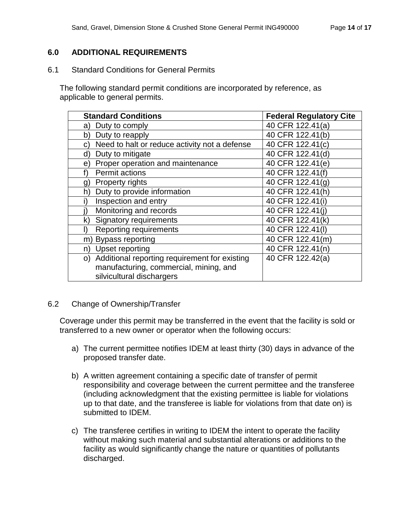# <span id="page-13-0"></span>**6.0 ADDITIONAL REQUIREMENTS**

<span id="page-13-1"></span>6.1 Standard Conditions for General Permits

The following standard permit conditions are incorporated by reference, as applicable to general permits.

| <b>Standard Conditions</b>                          | <b>Federal Regulatory Cite</b> |
|-----------------------------------------------------|--------------------------------|
| Duty to comply<br>a)                                | 40 CFR 122.41(a)               |
| Duty to reapply<br>b)                               | 40 CFR 122.41(b)               |
| Need to halt or reduce activity not a defense<br>C) | 40 CFR 122.41(c)               |
| Duty to mitigate<br>ď                               | 40 CFR 122.41(d)               |
| Proper operation and maintenance<br>e)              | 40 CFR 122.41(e)               |
| <b>Permit actions</b>                               | 40 CFR 122.41(f)               |
| <b>Property rights</b><br>g)                        | 40 CFR 122.41(g)               |
| Duty to provide information<br>h)                   | 40 CFR 122.41(h)               |
| Inspection and entry                                | 40 CFR 122.41(i)               |
| Monitoring and records                              | 40 CFR 122.41(i)               |
| <b>Signatory requirements</b><br>k)                 | 40 CFR 122.41(k)               |
| <b>Reporting requirements</b>                       | 40 CFR 122.41(I)               |
| <b>Bypass reporting</b><br>m)                       | 40 CFR 122.41(m)               |
| Upset reporting<br>n)                               | 40 CFR 122.41(n)               |
| Additional reporting requirement for existing<br>O) | 40 CFR 122.42(a)               |
| manufacturing, commercial, mining, and              |                                |
| silvicultural dischargers                           |                                |

## <span id="page-13-2"></span>6.2 Change of Ownership/Transfer

Coverage under this permit may be transferred in the event that the facility is sold or transferred to a new owner or operator when the following occurs:

- a) The current permittee notifies IDEM at least thirty (30) days in advance of the proposed transfer date.
- b) A written agreement containing a specific date of transfer of permit responsibility and coverage between the current permittee and the transferee (including acknowledgment that the existing permittee is liable for violations up to that date, and the transferee is liable for violations from that date on) is submitted to IDEM.
- c) The transferee certifies in writing to IDEM the intent to operate the facility without making such material and substantial alterations or additions to the facility as would significantly change the nature or quantities of pollutants discharged.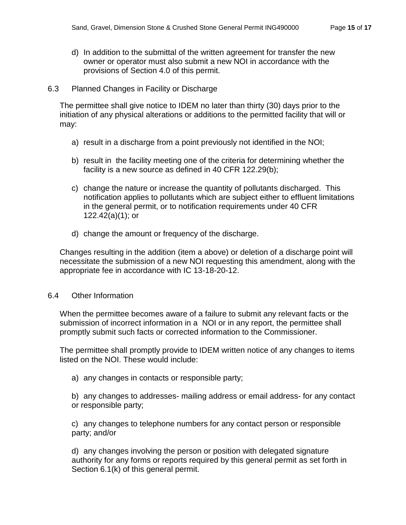d) In addition to the submittal of the written agreement for transfer the new owner or operator must also submit a new NOI in accordance with the provisions of Section 4.0 of this permit.

### <span id="page-14-0"></span>6.3 Planned Changes in Facility or Discharge

The permittee shall give notice to IDEM no later than thirty (30) days prior to the initiation of any physical alterations or additions to the permitted facility that will or may:

- a) result in a discharge from a point previously not identified in the NOI;
- b) result in the facility meeting one of the criteria for determining whether the facility is a new source as defined in 40 CFR 122.29(b);
- c) change the nature or increase the quantity of pollutants discharged. This notification applies to pollutants which are subject either to effluent limitations in the general permit, or to notification requirements under 40 CFR 122.42(a)(1); or
- d) change the amount or frequency of the discharge.

Changes resulting in the addition (item a above) or deletion of a discharge point will necessitate the submission of a new NOI requesting this amendment, along with the appropriate fee in accordance with IC 13-18-20-12.

### <span id="page-14-1"></span>6.4 Other Information

When the permittee becomes aware of a failure to submit any relevant facts or the submission of incorrect information in a NOI or in any report, the permittee shall promptly submit such facts or corrected information to the Commissioner.

The permittee shall promptly provide to IDEM written notice of any changes to items listed on the NOI. These would include:

a) any changes in contacts or responsible party;

b) any changes to addresses- mailing address or email address- for any contact or responsible party;

c) any changes to telephone numbers for any contact person or responsible party; and/or

d) any changes involving the person or position with delegated signature authority for any forms or reports required by this general permit as set forth in Section 6.1(k) of this general permit.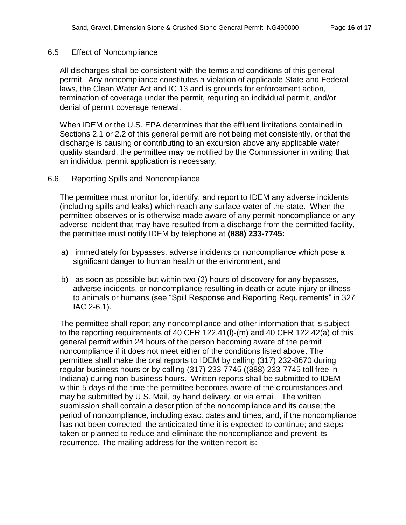### <span id="page-15-0"></span>6.5 Effect of Noncompliance

All discharges shall be consistent with the terms and conditions of this general permit. Any noncompliance constitutes a violation of applicable State and Federal laws, the Clean Water Act and IC 13 and is grounds for enforcement action, termination of coverage under the permit, requiring an individual permit, and/or denial of permit coverage renewal.

When IDEM or the U.S. EPA determines that the effluent limitations contained in Sections 2.1 or 2.2 of this general permit are not being met consistently, or that the discharge is causing or contributing to an excursion above any applicable water quality standard, the permittee may be notified by the Commissioner in writing that an individual permit application is necessary.

### <span id="page-15-1"></span>6.6 Reporting Spills and Noncompliance

The permittee must monitor for, identify, and report to IDEM any adverse incidents (including spills and leaks) which reach any surface water of the state. When the permittee observes or is otherwise made aware of any permit noncompliance or any adverse incident that may have resulted from a discharge from the permitted facility, the permittee must notify IDEM by telephone at **(888) 233-7745:**

- a) immediately for bypasses, adverse incidents or noncompliance which pose a significant danger to human health or the environment, and
- b) as soon as possible but within two (2) hours of discovery for any bypasses, adverse incidents, or noncompliance resulting in death or acute injury or illness to animals or humans (see "Spill Response and Reporting Requirements" in 327 IAC 2-6.1).

The permittee shall report any noncompliance and other information that is subject to the reporting requirements of 40 CFR 122.41(l)-(m) and 40 CFR 122.42(a) of this general permit within 24 hours of the person becoming aware of the permit noncompliance if it does not meet either of the conditions listed above. The permittee shall make the oral reports to IDEM by calling (317) 232-8670 during regular business hours or by calling (317) 233-7745 ((888) 233-7745 toll free in Indiana) during non-business hours. Written reports shall be submitted to IDEM within 5 days of the time the permittee becomes aware of the circumstances and may be submitted by U.S. Mail, by hand delivery, or via email. The written submission shall contain a description of the noncompliance and its cause; the period of noncompliance, including exact dates and times, and, if the noncompliance has not been corrected, the anticipated time it is expected to continue; and steps taken or planned to reduce and eliminate the noncompliance and prevent its recurrence. The mailing address for the written report is: